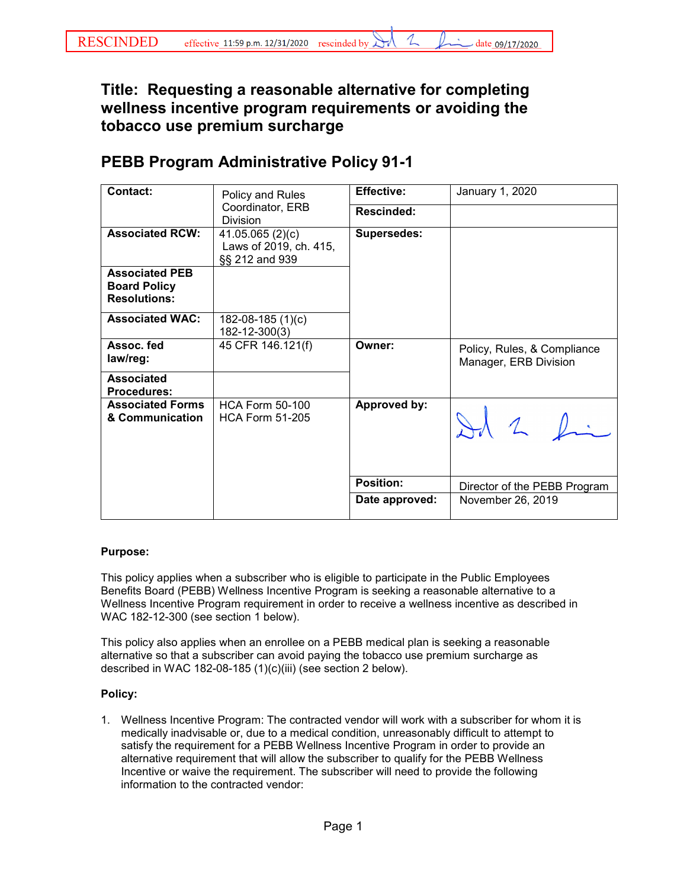## **Title: Requesting a reasonable alternative for completing wellness incentive program requirements or avoiding the tobacco use premium surcharge**

## **PEBB Program Administrative Policy 91-1**

| <b>Contact:</b>                                                     | Policy and Rules<br>Coordinator, ERB<br>Division            | <b>Effective:</b>  | January 1, 2020                                      |
|---------------------------------------------------------------------|-------------------------------------------------------------|--------------------|------------------------------------------------------|
|                                                                     |                                                             | <b>Rescinded:</b>  |                                                      |
| <b>Associated RCW:</b>                                              | 41.05.065(2)(c)<br>Laws of 2019, ch. 415,<br>§§ 212 and 939 | <b>Supersedes:</b> |                                                      |
| <b>Associated PEB</b><br><b>Board Policy</b><br><b>Resolutions:</b> |                                                             |                    |                                                      |
| <b>Associated WAC:</b>                                              | 182-08-185 (1)(c)<br>182-12-300(3)                          |                    |                                                      |
| Assoc. fed<br>law/reg:                                              | 45 CFR 146.121(f)                                           | Owner:             | Policy, Rules, & Compliance<br>Manager, ERB Division |
| <b>Associated</b><br><b>Procedures:</b>                             |                                                             |                    |                                                      |
| <b>Associated Forms</b><br>& Communication                          | <b>HCA Form 50-100</b><br><b>HCA Form 51-205</b>            | Approved by:       | $12$ fi                                              |
|                                                                     |                                                             | <b>Position:</b>   | Director of the PEBB Program                         |
|                                                                     |                                                             | Date approved:     | November 26, 2019                                    |

## **Purpose:**

This policy applies when a subscriber who is eligible to participate in the Public Employees Benefits Board (PEBB) Wellness Incentive Program is seeking a reasonable alternative to a Wellness Incentive Program requirement in order to receive a wellness incentive as described in WAC 182-12-300 (see section 1 below).

This policy also applies when an enrollee on a PEBB medical plan is seeking a reasonable alternative so that a subscriber can avoid paying the tobacco use premium surcharge as described in WAC 182-08-185 (1)(c)(iii) (see section 2 below).

## **Policy:**

1. Wellness Incentive Program: The contracted vendor will work with a subscriber for whom it is medically inadvisable or, due to a medical condition, unreasonably difficult to attempt to satisfy the requirement for a PEBB Wellness Incentive Program in order to provide an alternative requirement that will allow the subscriber to qualify for the PEBB Wellness Incentive or waive the requirement. The subscriber will need to provide the following information to the contracted vendor: